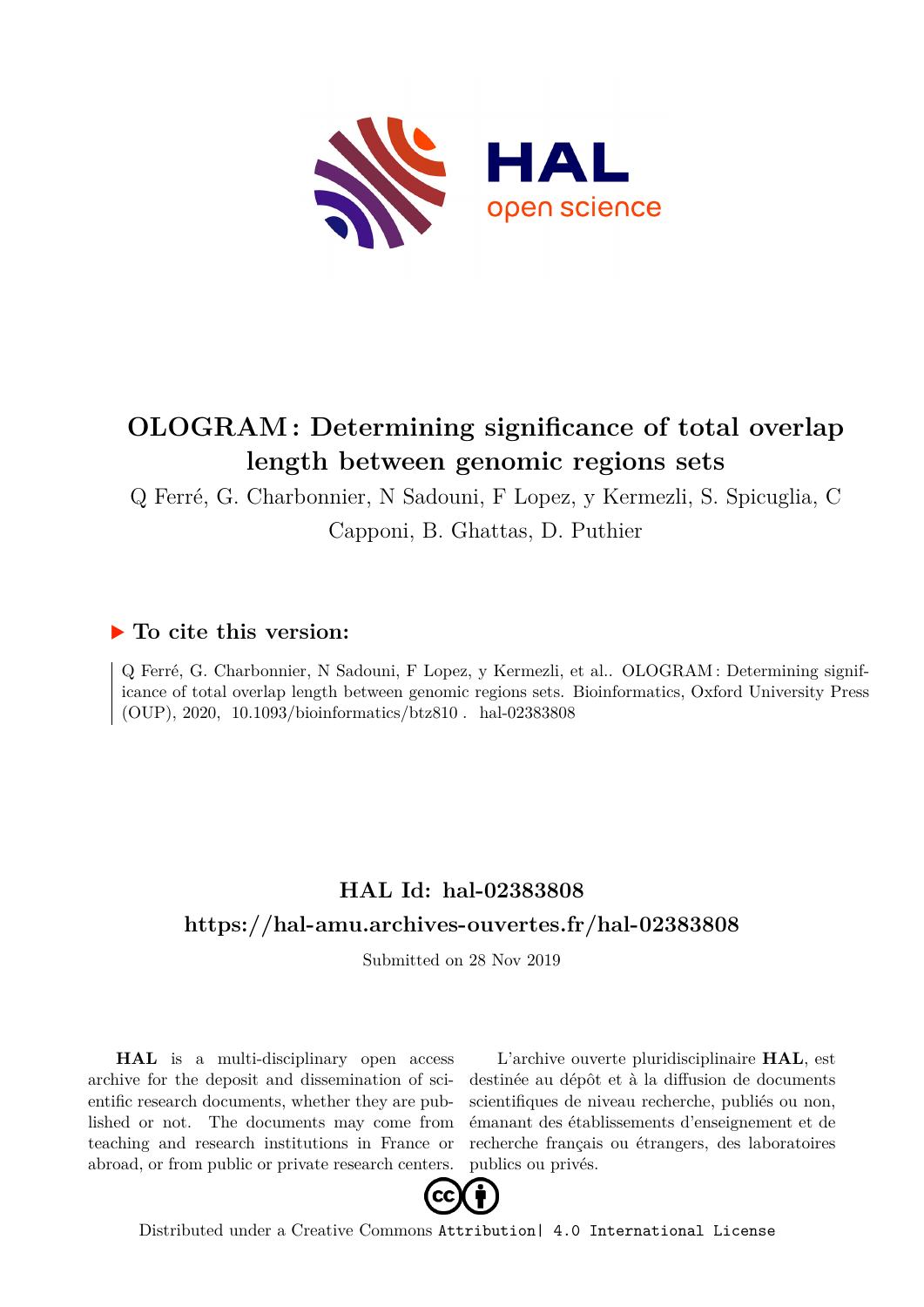

# **OLOGRAM : Determining significance of total overlap length between genomic regions sets**

Q Ferré, G. Charbonnier, N Sadouni, F Lopez, y Kermezli, S. Spicuglia, C

Capponi, B. Ghattas, D. Puthier

### **To cite this version:**

Q Ferré, G. Charbonnier, N Sadouni, F Lopez, y Kermezli, et al.. OLOGRAM : Determining significance of total overlap length between genomic regions sets. Bioinformatics, Oxford University Press  $(OUP), 2020, 10.1093/bioinformatics/btz810. hal-02383808$ 

## **HAL Id: hal-02383808 <https://hal-amu.archives-ouvertes.fr/hal-02383808>**

Submitted on 28 Nov 2019

**HAL** is a multi-disciplinary open access archive for the deposit and dissemination of scientific research documents, whether they are published or not. The documents may come from teaching and research institutions in France or abroad, or from public or private research centers.

L'archive ouverte pluridisciplinaire **HAL**, est destinée au dépôt et à la diffusion de documents scientifiques de niveau recherche, publiés ou non, émanant des établissements d'enseignement et de recherche français ou étrangers, des laboratoires publics ou privés.



Distributed under a Creative Commons [Attribution| 4.0 International License](http://creativecommons.org/licenses/by/4.0/)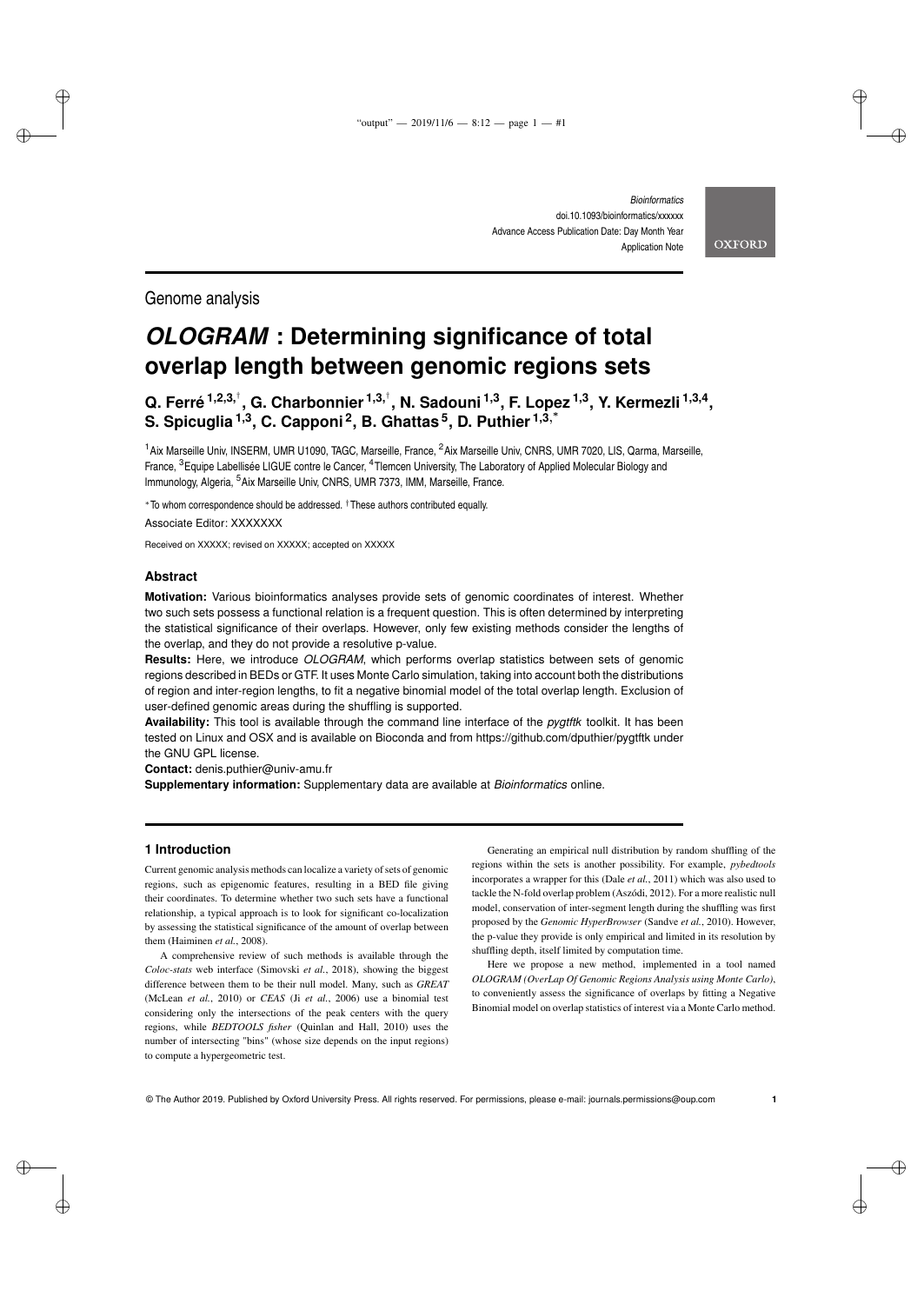**OXFORD** 

✐

✐

✐

✐

Genome analysis

✐

✐

✐

✐

# *OLOGRAM* **: Determining significance of total overlap length between genomic regions sets**

**Q. Ferré 1,2,3,**† **, G. Charbonnier 1,3,**† **, N. Sadouni 1,3, F. Lopez 1,3, Y. Kermezli 1,3,4 , S. Spicuglia 1,3, C. Capponi <sup>2</sup> , B. Ghattas <sup>5</sup> , D. Puthier 1,3**, ∗

<sup>1</sup> Aix Marseille Univ, INSERM, UMR U1090, TAGC, Marseille, France, <sup>2</sup> Aix Marseille Univ, CNRS, UMR 7020, LIS, Qarma, Marseille, France, <sup>3</sup> Equipe Labellisée LIGUE contre le Cancer, <sup>4</sup> Tlemcen University, The Laboratory of Applied Molecular Biology and Immunology, Algeria, <sup>5</sup> Aix Marseille Univ, CNRS, UMR 7373, IMM, Marseille, France.

<sup>∗</sup>To whom correspondence should be addressed. †These authors contributed equally. Associate Editor: XXXXXXX

Received on XXXXX; revised on XXXXX; accepted on XXXXX

#### **Abstract**

**Motivation:** Various bioinformatics analyses provide sets of genomic coordinates of interest. Whether two such sets possess a functional relation is a frequent question. This is often determined by interpreting the statistical significance of their overlaps. However, only few existing methods consider the lengths of the overlap, and they do not provide a resolutive p-value.

**Results:** Here, we introduce *OLOGRAM*, which performs overlap statistics between sets of genomic regions described in BEDs or GTF. It uses Monte Carlo simulation, taking into account both the distributions of region and inter-region lengths, to fit a negative binomial model of the total overlap length. Exclusion of user-defined genomic areas during the shuffling is supported.

**Availability:** This tool is available through the command line interface of the *pygtftk* toolkit. It has been tested on Linux and OSX and is available on Bioconda and from https://github.com/dputhier/pygtftk under the GNU GPL license.

**Contact:** denis.puthier@univ-amu.fr

**Supplementary information:** Supplementary data are available at *Bioinformatics* online.

#### **1 Introduction**

Current genomic analysis methods can localize a variety of sets of genomic regions, such as epigenomic features, resulting in a BED file giving their coordinates. To determine whether two such sets have a functional relationship, a typical approach is to look for significant co-localization by assessing the statistical significance of the amount of overlap between them (Haiminen *et al.*, 2008).

A comprehensive review of such methods is available through the *Coloc-stats* web interface (Simovski *et al.*, 2018), showing the biggest difference between them to be their null model. Many, such as *GREAT* (McLean *et al.*, 2010) or *CEAS* (Ji *et al.*, 2006) use a binomial test considering only the intersections of the peak centers with the query regions, while *BEDTOOLS fisher* (Quinlan and Hall, 2010) uses the number of intersecting "bins" (whose size depends on the input regions) to compute a hypergeometric test.

Generating an empirical null distribution by random shuffling of the regions within the sets is another possibility. For example, *pybedtools* incorporates a wrapper for this (Dale *et al.*, 2011) which was also used to tackle the N-fold overlap problem (Aszódi, 2012). For a more realistic null model, conservation of inter-segment length during the shuffling was first proposed by the *Genomic HyperBrowser* (Sandve *et al.*, 2010). However, the p-value they provide is only empirical and limited in its resolution by shuffling depth, itself limited by computation time.

Here we propose a new method, implemented in a tool named *OLOGRAM (OverLap Of Genomic Regions Analysis using Monte Carlo)*, to conveniently assess the significance of overlaps by fitting a Negative Binomial model on overlap statistics of interest via a Monte Carlo method.

© The Author 2019. Published by Oxford University Press. All rights reserved. For permissions, please e-mail: journals.permissions@oup.com **1**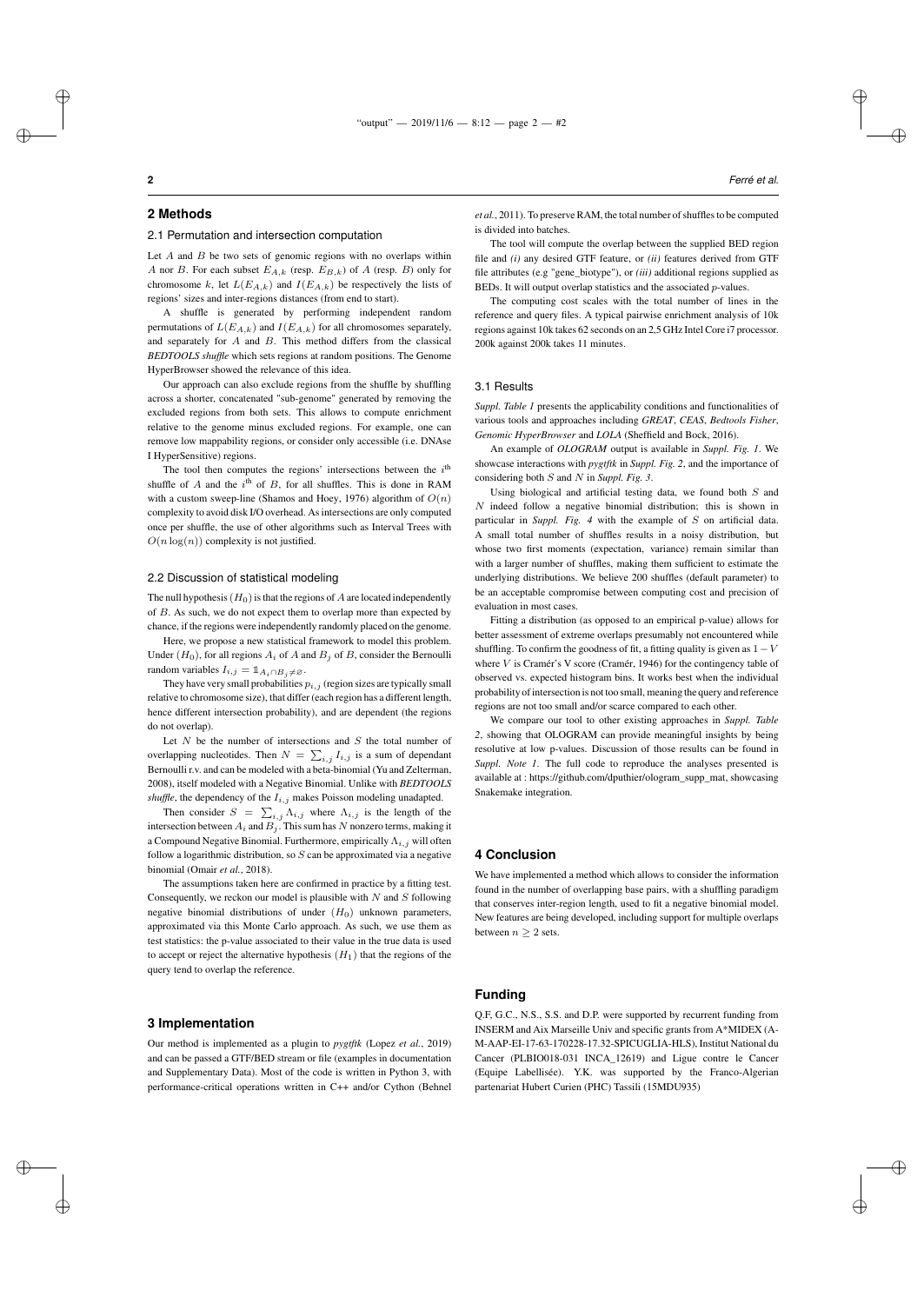✐

✐

#### **2 Methods**

✐

✐

#### 2.1 Permutation and intersection computation

Let  $A$  and  $B$  be two sets of genomic regions with no overlaps within A nor B. For each subset  $E_{A,k}$  (resp.  $E_{B,k}$ ) of A (resp. B) only for chromosome k, let  $L(E_{A,k})$  and  $I(E_{A,k})$  be respectively the lists of regions' sizes and inter-regions distances (from end to start).

A shuffle is generated by performing independent random permutations of  $L(E_{A,k})$  and  $I(E_{A,k})$  for all chromosomes separately, and separately for  $A$  and  $B$ . This method differs from the classical *BEDTOOLS shuffle* which sets regions at random positions. The Genome HyperBrowser showed the relevance of this idea.

Our approach can also exclude regions from the shuffle by shuffling across a shorter, concatenated "sub-genome" generated by removing the excluded regions from both sets. This allows to compute enrichment relative to the genome minus excluded regions. For example, one can remove low mappability regions, or consider only accessible (i.e. DNAse I HyperSensitive) regions.

The tool then computes the regions' intersections between the  $i<sup>th</sup>$ shuffle of A and the  $i<sup>th</sup>$  of B, for all shuffles. This is done in RAM with a custom sweep-line (Shamos and Hoey, 1976) algorithm of  $O(n)$ complexity to avoid disk I/O overhead. As intersections are only computed once per shuffle, the use of other algorithms such as Interval Trees with  $O(n \log(n))$  complexity is not justified.

#### 2.2 Discussion of statistical modeling

The null hypothesis  $(H_0)$  is that the regions of  $A$  are located independently of B. As such, we do not expect them to overlap more than expected by chance, if the regions were independently randomly placed on the genome.

Here, we propose a new statistical framework to model this problem. Under  $(H_0)$ , for all regions  $A_i$  of  $A$  and  $B_j$  of  $B$ , consider the Bernoulli random variables  $I_{i,j} = \mathbb{1}_{A_i \cap B_j \neq \emptyset}$ .

They have very small probabilities  $p_{i,j}$  (region sizes are typically small relative to chromosome size), that differ (each region has a different length, hence different intersection probability), and are dependent (the regions do not overlap).

Let  $N$  be the number of intersections and  $S$  the total number of overlapping nucleotides. Then  $N = \sum_{i,j} I_{i,j}$  is a sum of dependant Bernoulli r.v. and can be modeled with a beta-binomial (Yu and Zelterman, 2008), itself modeled with a Negative Binomial. Unlike with *BEDTOOLS shuffle*, the dependency of the  $I_{i,j}$  makes Poisson modeling unadapted.

Then consider  $S = \sum_{i,j} \Lambda_{i,j}$  where  $\Lambda_{i,j}$  is the length of the intersection between  $A_i$  and  $B_i$ . This sum has N nonzero terms, making it a Compound Negative Binomial. Furthermore, empirically  $\Lambda_{i,j}$  will often follow a logarithmic distribution, so  $S$  can be approximated via a negative binomial (Omair *et al.*, 2018).

The assumptions taken here are confirmed in practice by a fitting test. Consequently, we reckon our model is plausible with  $N$  and  $S$  following negative binomial distributions of under  $(H_0)$  unknown parameters, approximated via this Monte Carlo approach. As such, we use them as test statistics: the p-value associated to their value in the true data is used to accept or reject the alternative hypothesis  $(H_1)$  that the regions of the query tend to overlap the reference.

#### **3 Implementation**

✐

✐

Our method is implemented as a plugin to *pygtftk* (Lopez *et al.*, 2019) and can be passed a GTF/BED stream or file (examples in documentation and Supplementary Data). Most of the code is written in Python 3, with performance-critical operations written in C++ and/or Cython (Behnel

*et al.*, 2011). To preserve RAM, the total number of shuffles to be computed is divided into batches.

The tool will compute the overlap between the supplied BED region file and *(i)* any desired GTF feature, or *(ii)* features derived from GTF file attributes (e.g "gene\_biotype"), or *(iii)* additional regions supplied as BEDs. It will output overlap statistics and the associated p-values.

The computing cost scales with the total number of lines in the reference and query files. A typical pairwise enrichment analysis of 10k regions against 10k takes 62 seconds on an 2,5 GHz Intel Core i7 processor. 200k against 200k takes 11 minutes.

#### 3.1 Results

*Suppl. Table 1* presents the applicability conditions and functionalities of various tools and approaches including *GREAT*, *CEAS*, *Bedtools Fisher*, *Genomic HyperBrowser* and *LOLA* (Sheffield and Bock, 2016).

An example of *OLOGRAM* output is available in *Suppl. Fig. 1*. We showcase interactions with *pygtftk* in *Suppl. Fig. 2*, and the importance of considering both S and N in *Suppl. Fig. 3*.

Using biological and artificial testing data, we found both  $S$  and  $N$  indeed follow a negative binomial distribution; this is shown in particular in *Suppl. Fig. 4* with the example of S on artificial data. A small total number of shuffles results in a noisy distribution, but whose two first moments (expectation, variance) remain similar than with a larger number of shuffles, making them sufficient to estimate the underlying distributions. We believe 200 shuffles (default parameter) to be an acceptable compromise between computing cost and precision of evaluation in most cases.

Fitting a distribution (as opposed to an empirical p-value) allows for better assessment of extreme overlaps presumably not encountered while shuffling. To confirm the goodness of fit, a fitting quality is given as  $1 - V$ where V is Cramér's V score (Cramér, 1946) for the contingency table of observed vs. expected histogram bins. It works best when the individual probability of intersection is not too small, meaning the query and reference regions are not too small and/or scarce compared to each other.

We compare our tool to other existing approaches in *Suppl. Table 2*, showing that OLOGRAM can provide meaningful insights by being resolutive at low p-values. Discussion of those results can be found in *Suppl. Note 1*. The full code to reproduce the analyses presented is available at : https://github.com/dputhier/ologram\_supp\_mat, showcasing Snakemake integration.

#### **4 Conclusion**

We have implemented a method which allows to consider the information found in the number of overlapping base pairs, with a shuffling paradigm that conserves inter-region length, used to fit a negative binomial model. New features are being developed, including support for multiple overlaps between  $n \geq 2$  sets.

#### **Funding**

Q.F, G.C., N.S., S.S. and D.P. were supported by recurrent funding from INSERM and Aix Marseille Univ and specific grants from A\*MIDEX (A-M-AAP-EI-17-63-170228-17.32-SPICUGLIA-HLS), Institut National du Cancer (PLBIO018-031 INCA\_12619) and Ligue contre le Cancer (Equipe Labellisée). Y.K. was supported by the Franco-Algerian partenariat Hubert Curien (PHC) Tassili (15MDU935)

✐

✐